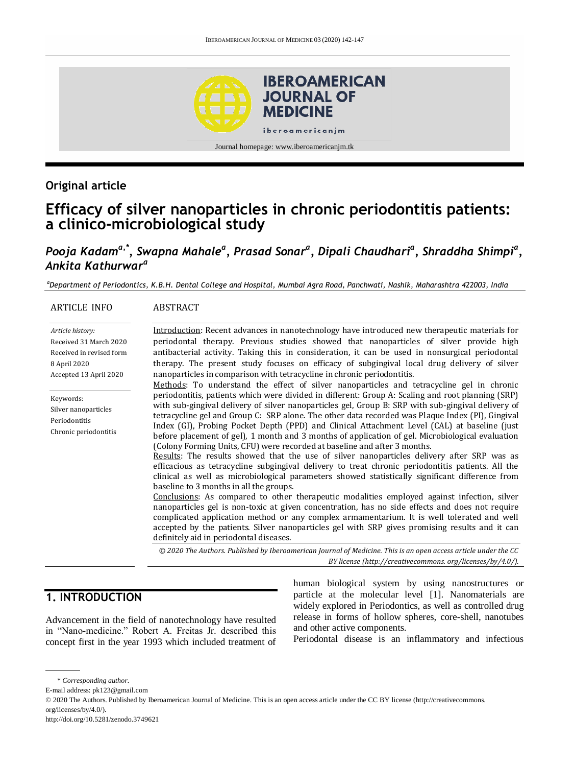

## **Original article**

# **Efficacy of silver nanoparticles in chronic periodontitis patients: a clinico-microbiological study**

## *Pooja Kadama,\* , Swapna Mahale<sup>a</sup> , Prasad Sonar<sup>a</sup> , Dipali Chaudhari<sup>a</sup> , Shraddha Shimpi<sup>a</sup> , Ankita Kathurwar a*

*<sup>a</sup>Department of Periodontics, K.B.H. Dental College and Hospital, Mumbai Agra Road, Panchwati, Nashik, Maharashtra 422003, India*

| <b>ARTICLE INFO</b>                                                                                              | <b>ABSTRACT</b>                                                                                                                                                                                                                                                                                                                                                                                                                                                                                                                                                                                                                                                                                                                                                                                                                                                                                                                                                                                                                                                                                                                                 |
|------------------------------------------------------------------------------------------------------------------|-------------------------------------------------------------------------------------------------------------------------------------------------------------------------------------------------------------------------------------------------------------------------------------------------------------------------------------------------------------------------------------------------------------------------------------------------------------------------------------------------------------------------------------------------------------------------------------------------------------------------------------------------------------------------------------------------------------------------------------------------------------------------------------------------------------------------------------------------------------------------------------------------------------------------------------------------------------------------------------------------------------------------------------------------------------------------------------------------------------------------------------------------|
| Article history:<br>Received 31 March 2020<br>Received in revised form<br>8 April 2020<br>Accepted 13 April 2020 | Introduction: Recent advances in nanotechnology have introduced new therapeutic materials for<br>periodontal therapy. Previous studies showed that nanoparticles of silver provide high<br>antibacterial activity. Taking this in consideration, it can be used in nonsurgical periodontal<br>therapy. The present study focuses on efficacy of subgingival local drug delivery of silver<br>nanoparticles in comparison with tetracycline in chronic periodontitis.<br>Methods: To understand the effect of silver nanoparticles and tetracycline gel in chronic                                                                                                                                                                                                                                                                                                                                                                                                                                                                                                                                                                               |
| Keywords:<br>Silver nanoparticles<br>Periodontitis<br>Chronic periodontitis                                      | periodontitis, patients which were divided in different: Group A: Scaling and root planning (SRP)<br>with sub-gingival delivery of silver nanoparticles gel, Group B: SRP with sub-gingival delivery of<br>tetracycline gel and Group C: SRP alone. The other data recorded was Plaque Index (PI), Gingival<br>Index (GI), Probing Pocket Depth (PPD) and Clinical Attachment Level (CAL) at baseline (just<br>before placement of gel), 1 month and 3 months of application of gel. Microbiological evaluation<br>(Colony Forming Units, CFU) were recorded at baseline and after 3 months.<br>Results: The results showed that the use of silver nanoparticles delivery after SRP was as<br>efficacious as tetracycline subgingival delivery to treat chronic periodontitis patients. All the<br>clinical as well as microbiological parameters showed statistically significant difference from<br>baseline to 3 months in all the groups.<br>Conclusions: As compared to other therapeutic modalities employed against infection, silver<br>nanoparticles gel is non-toxic at given concentration, has no side effects and does not require |
|                                                                                                                  | complicated application method or any complex armamentarium. It is well tolerated and well<br>accepted by the patients. Silver nanoparticles gel with SRP gives promising results and it can<br>definitely aid in periodontal diseases.                                                                                                                                                                                                                                                                                                                                                                                                                                                                                                                                                                                                                                                                                                                                                                                                                                                                                                         |
|                                                                                                                  | © 2020 The Authors. Published by Iberoamerican Journal of Medicine. This is an open access article under the CC<br>BY license (http://creativecommons.org/licenses/by/4.0/).                                                                                                                                                                                                                                                                                                                                                                                                                                                                                                                                                                                                                                                                                                                                                                                                                                                                                                                                                                    |

### **1. INTRODUCTION**

Advancement in the field of nanotechnology have resulted in "Nano-medicine." Robert A. Freitas Jr. described this concept first in the year 1993 which included treatment of human biological system by using nanostructures or particle at the molecular level [1]. Nanomaterials are widely explored in Periodontics, as well as controlled drug release in forms of hollow spheres, core-shell, nanotubes and other active components.

Periodontal disease is an inflammatory and infectious

<sup>\*</sup> *Corresponding author.*

E-mail address: pk123@gmail.com

<sup>© 2020</sup> The Authors. Published by Iberoamerican Journal of Medicine. This is an open access article under the CC BY license (http://creativecommons. org/licenses/by/4.0/).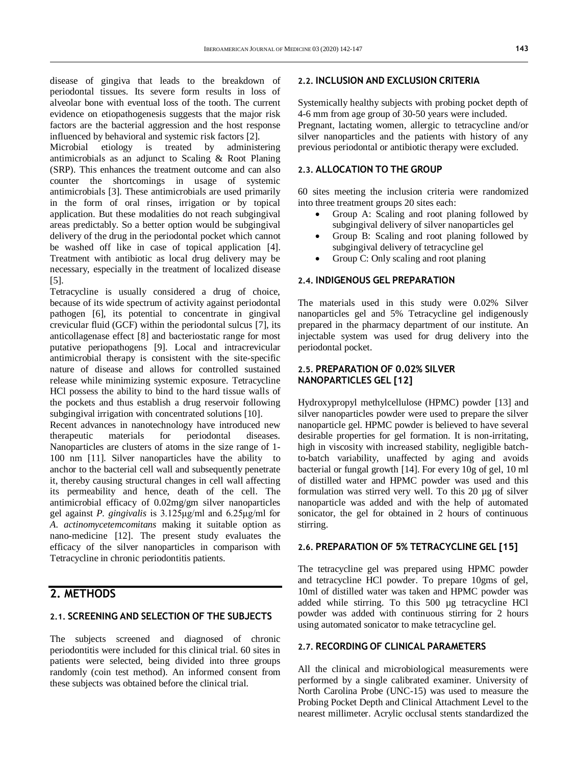disease of gingiva that leads to the breakdown of periodontal tissues. Its severe form results in loss of alveolar bone with eventual loss of the tooth. The current evidence on etiopathogenesis suggests that the major risk factors are the bacterial aggression and the host response influenced by behavioral and systemic risk factors [2].

Microbial etiology is treated by administering antimicrobials as an adjunct to Scaling & Root Planing (SRP). This enhances the treatment outcome and can also counter the shortcomings in usage of systemic antimicrobials [3]. These antimicrobials are used primarily in the form of oral rinses, irrigation or by topical application. But these modalities do not reach subgingival areas predictably. So a better option would be subgingival delivery of the drug in the periodontal pocket which cannot be washed off like in case of topical application [4]. Treatment with antibiotic as local drug delivery may be necessary, especially in the treatment of localized disease [5].

Tetracycline is usually considered a drug of choice, because of its wide spectrum of activity against periodontal pathogen [6], its potential to concentrate in gingival crevicular fluid (GCF) within the periodontal sulcus [7], its anticollagenase effect [8] and bacteriostatic range for most putative periopathogens [9]. Local and intracrevicular antimicrobial therapy is consistent with the site-specific nature of disease and allows for controlled sustained release while minimizing systemic exposure. Tetracycline HCl possess the ability to bind to the hard tissue walls of the pockets and thus establish a drug reservoir following subgingival irrigation with concentrated solutions [10].

Recent advances in nanotechnology have introduced new therapeutic materials for periodontal diseases. Nanoparticles are clusters of atoms in the size range of 1- 100 nm [11]. Silver nanoparticles have the ability to anchor to the bacterial cell wall and subsequently penetrate it, thereby causing structural changes in cell wall affecting its permeability and hence, death of the cell. The antimicrobial efficacy of 0.02mg/gm silver nanoparticles gel against *P. gingivalis* is 3.125μg/ml and 6.25μg/ml for *A. actinomycetemcomitans* making it suitable option as nano-medicine [12]. The present study evaluates the efficacy of the silver nanoparticles in comparison with Tetracycline in chronic periodontitis patients.

## **2. METHODS**

#### **2.1. SCREENING AND SELECTION OF THE SUBJECTS**

The subjects screened and diagnosed of chronic periodontitis were included for this clinical trial. 60 sites in patients were selected, being divided into three groups randomly (coin test method). An informed consent from these subjects was obtained before the clinical trial.

#### **2.2. INCLUSION AND EXCLUSION CRITERIA**

Systemically healthy subjects with probing pocket depth of 4-6 mm from age group of 30-50 years were included. Pregnant, lactating women, allergic to tetracycline and/or silver nanoparticles and the patients with history of any previous periodontal or antibiotic therapy were excluded.

#### **2.3. ALLOCATION TO THE GROUP**

60 sites meeting the inclusion criteria were randomized into three treatment groups 20 sites each:

- Group A: Scaling and root planing followed by subgingival delivery of silver nanoparticles gel
- Group B: Scaling and root planing followed by subgingival delivery of tetracycline gel
- Group C: Only scaling and root planing

#### **2.4. INDIGENOUS GEL PREPARATION**

The materials used in this study were 0.02% Silver nanoparticles gel and 5% Tetracycline gel indigenously prepared in the pharmacy department of our institute. An injectable system was used for drug delivery into the periodontal pocket.

#### **2.5. PREPARATION OF 0.02% SILVER NANOPARTICLES GEL [12]**

Hydroxypropyl methylcellulose (HPMC) powder [13] and silver nanoparticles powder were used to prepare the silver nanoparticle gel. HPMC powder is believed to have several desirable properties for gel formation. It is non-irritating, high in viscosity with increased stability, negligible batchto-batch variability, unaffected by aging and avoids bacterial or fungal growth [14]. For every 10g of gel, 10 ml of distilled water and HPMC powder was used and this formulation was stirred very well. To this 20 µg of silver nanoparticle was added and with the help of automated sonicator, the gel for obtained in 2 hours of continuous stirring.

#### **2.6. PREPARATION OF 5% TETRACYCLINE GEL [15]**

The tetracycline gel was prepared using HPMC powder and tetracycline HCl powder. To prepare 10gms of gel, 10ml of distilled water was taken and HPMC powder was added while stirring. To this 500 µg tetracycline HCl powder was added with continuous stirring for 2 hours using automated sonicator to make tetracycline gel.

#### **2.7. RECORDING OF CLINICAL PARAMETERS**

All the clinical and microbiological measurements were performed by a single calibrated examiner. University of North Carolina Probe (UNC-15) was used to measure the Probing Pocket Depth and Clinical Attachment Level to the nearest millimeter. Acrylic occlusal stents standardized the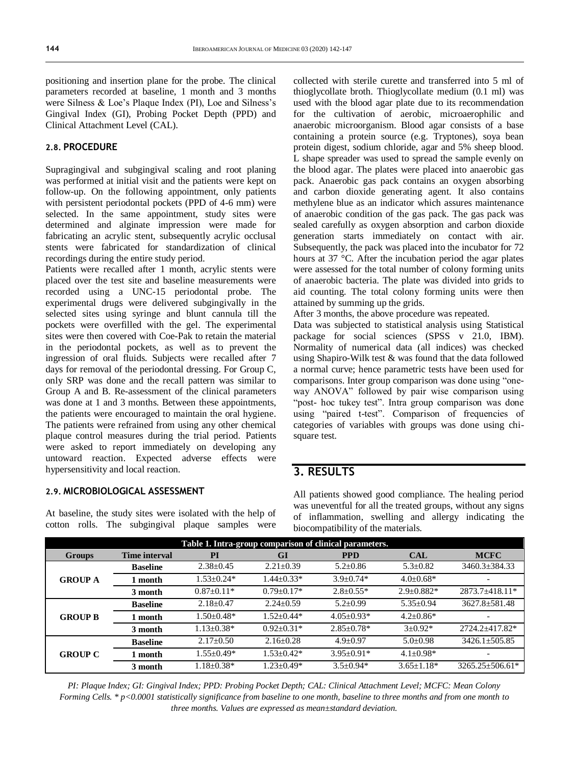positioning and insertion plane for the probe. The clinical parameters recorded at baseline, 1 month and 3 months were Silness & Loe's Plaque Index (PI), Loe and Silness's Gingival Index (GI), Probing Pocket Depth (PPD) and Clinical Attachment Level (CAL).

#### **2.8. PROCEDURE**

Supragingival and subgingival scaling and root planing was performed at initial visit and the patients were kept on follow-up. On the following appointment, only patients with persistent periodontal pockets (PPD of 4-6 mm) were selected. In the same appointment, study sites were determined and alginate impression were made for fabricating an acrylic stent, subsequently acrylic occlusal stents were fabricated for standardization of clinical recordings during the entire study period.

Patients were recalled after 1 month, acrylic stents were placed over the test site and baseline measurements were recorded using a UNC-15 periodontal probe. The experimental drugs were delivered subgingivally in the selected sites using syringe and blunt cannula till the pockets were overfilled with the gel. The experimental sites were then covered with Coe-Pak to retain the material in the periodontal pockets, as well as to prevent the ingression of oral fluids. Subjects were recalled after 7 days for removal of the periodontal dressing. For Group C, only SRP was done and the recall pattern was similar to Group A and B. Re-assessment of the clinical parameters was done at 1 and 3 months. Between these appointments, the patients were encouraged to maintain the oral hygiene. The patients were refrained from using any other chemical plaque control measures during the trial period. Patients were asked to report immediately on developing any untoward reaction. Expected adverse effects were hypersensitivity and local reaction.

#### **2.9. MICROBIOLOGICAL ASSESSMENT**

At baseline, the study sites were isolated with the help of cotton rolls. The subgingival plaque samples were collected with sterile curette and transferred into 5 ml of thioglycollate broth. Thioglycollate medium (0.1 ml) was used with the blood agar plate due to its recommendation for the cultivation of aerobic, microaerophilic and anaerobic microorganism. Blood agar consists of a base containing a protein source (e.g. Tryptones), soya bean protein digest, sodium chloride, agar and 5% sheep blood. L shape spreader was used to spread the sample evenly on the blood agar. The plates were placed into anaerobic gas pack. Anaerobic gas pack contains an oxygen absorbing and carbon dioxide generating agent. It also contains methylene blue as an indicator which assures maintenance of anaerobic condition of the gas pack. The gas pack was sealed carefully as oxygen absorption and carbon dioxide generation starts immediately on contact with air. Subsequently, the pack was placed into the incubator for 72 hours at 37 °C. After the incubation period the agar plates were assessed for the total number of colony forming units of anaerobic bacteria. The plate was divided into grids to aid counting. The total colony forming units were then attained by summing up the grids.

After 3 months, the above procedure was repeated.

Data was subjected to statistical analysis using Statistical package for social sciences (SPSS v 21.0, IBM). Normality of numerical data (all indices) was checked using Shapiro-Wilk test & was found that the data followed a normal curve; hence parametric tests have been used for comparisons. Inter group comparison was done using "oneway ANOVA" followed by pair wise comparison using "post- hoc tukey test". Intra group comparison was done using "paired t-test". Comparison of frequencies of categories of variables with groups was done using chisquare test.

### **3. RESULTS**

All patients showed good compliance. The healing period was uneventful for all the treated groups, without any signs of inflammation, swelling and allergy indicating the biocompatibility of the materials.

| Table 1. Intra-group comparison of clinical parameters. |                      |                  |                  |                  |                  |                       |  |  |  |
|---------------------------------------------------------|----------------------|------------------|------------------|------------------|------------------|-----------------------|--|--|--|
| Groups                                                  | <b>Time interval</b> | PI<br><b>GI</b>  |                  | <b>PPD</b>       | <b>CAL</b>       | <b>MCFC</b>           |  |  |  |
| <b>GROUP A</b>                                          | <b>Baseline</b>      | $2.38 \pm 0.45$  | $2.21 \pm 0.39$  | $5.2 \pm 0.86$   | $5.3 \pm 0.82$   | 3460.3±384.33         |  |  |  |
|                                                         | month                | $1.53 + 0.24*$   | $1.44 + 0.33*$   | $3.9 + 0.74*$    | $4.0 \pm 0.68*$  |                       |  |  |  |
|                                                         | 3 month              | $0.87+0.11*$     | $0.79 + 0.17*$   | $2.8 + 0.55*$    | $2.9 + 0.882*$   | $2873.7 + 418.11*$    |  |  |  |
| <b>GROUP B</b>                                          | <b>Baseline</b>      | $2.18 + 0.47$    | $2.24 + 0.59$    | $5.2+0.99$       | $5.35 \pm 0.94$  | $3627.8 \pm 581.48$   |  |  |  |
|                                                         | month                | $1.50 + 0.48*$   | $1.52 + 0.44*$   | $4.05 + 0.93*$   | $4.2 + 0.86*$    |                       |  |  |  |
|                                                         | 3 month              | $1.13 + 0.38*$   | $0.92 + 0.31*$   | $2.85 + 0.78*$   | $3+0.92*$        | 2724.2+417.82*        |  |  |  |
| <b>GROUP C</b>                                          | <b>Baseline</b>      | $2.17 \pm 0.50$  | $2.16 \pm 0.28$  | $4.9 + 0.97$     | $5.0 \pm 0.98$   | $3426.1 \pm 505.85$   |  |  |  |
|                                                         | month                | $1.55 \pm 0.49*$ | $1.53 \pm 0.42*$ | $3.95 \pm 0.91*$ | $4.1 \pm 0.98*$  | $\qquad \qquad$       |  |  |  |
|                                                         | 3 month              | $1.18 \pm 0.38*$ | $1.23 \pm 0.49*$ | $3.5 + 0.94*$    | $3.65 \pm 1.18*$ | $3265.25 \pm 506.61*$ |  |  |  |

*PI: Plaque Index; GI: Gingival Index; PPD: Probing Pocket Depth; CAL: Clinical Attachment Level; MCFC: Mean Colony Forming Cells. \* p<0.0001 statistically significance from baseline to one month, baseline to three months and from one month to three months. Values are expressed as mean±standard deviation.*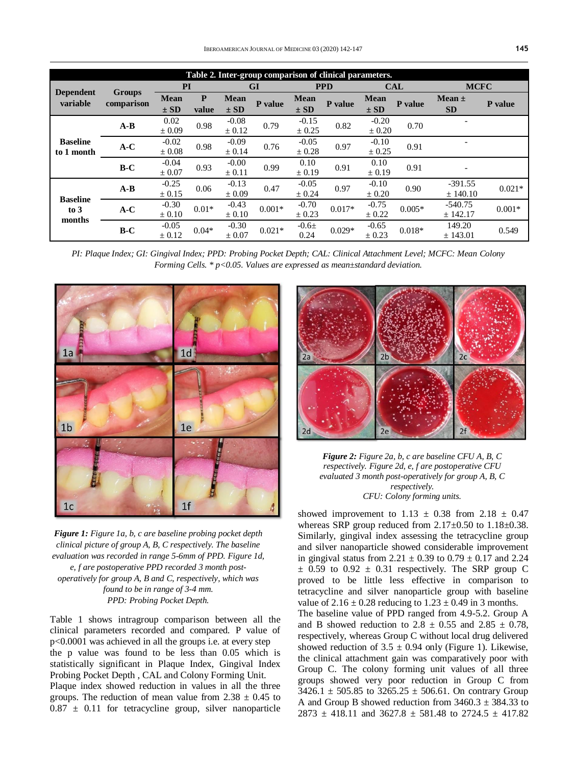| Table 2. Inter-group comparison of clinical parameters. |                      |             |         |                               |                        |             |            |             |          |             |          |
|---------------------------------------------------------|----------------------|-------------|---------|-------------------------------|------------------------|-------------|------------|-------------|----------|-------------|----------|
| <b>Dependent</b><br>variable                            | Groups<br>comparison | PI          |         | G <sub>I</sub>                |                        | <b>PPD</b>  |            | <b>CAL</b>  |          | <b>MCFC</b> |          |
|                                                         |                      | <b>Mean</b> | P       | <b>Mean</b>                   | P value                | <b>Mean</b> | P value    | <b>Mean</b> | P value  | Mean $\pm$  | P value  |
|                                                         |                      | $\pm$ SD    | value   | $\pm$ SD                      |                        | $\pm$ SD    |            | $\pm$ SD    |          | <b>SD</b>   |          |
| <b>Baseline</b><br>to 1 month                           | $A-B$                | 0.02        |         | $-0.08$<br>0.98<br>$\pm 0.12$ | 0.79                   | $-0.15$     | 0.82       | $-0.20$     | 0.70     |             |          |
|                                                         |                      | $\pm 0.09$  |         |                               |                        | $\pm 0.25$  |            | $\pm 0.20$  |          |             |          |
|                                                         | $A-C$                | $-0.02$     | 0.98    | $-0.09$                       | 0.76                   | $-0.05$     | 0.97       | $-0.10$     | 0.91     |             |          |
|                                                         |                      | $\pm 0.08$  |         | ± 0.14                        |                        | ± 0.28      |            | ± 0.25      |          |             |          |
|                                                         | $B-C$                | $-0.04$     | 0.93    | $-0.00$                       | 0.10<br>0.99<br>± 0.19 |             | 0.91       | 0.10        | 0.91     |             |          |
|                                                         |                      | $\pm 0.07$  |         | $\pm 0.11$                    |                        |             | $\pm 0.19$ |             |          |             |          |
| <b>Baseline</b><br>$\frac{1}{2}$<br>months              | $A-B$                | $-0.25$     | 0.06    | $-0.13$                       | 0.47                   | $-0.05$     | 0.97       | $-0.10$     | 0.90     | $-391.55$   | $0.021*$ |
|                                                         |                      | ± 0.15      |         | ± 0.09                        |                        | ± 0.24      |            | ± 0.20      |          | ± 140.10    |          |
|                                                         | $A-C$                | $-0.30$     | $0.01*$ | $-0.43$                       | $0.001*$               | $-0.70$     | $0.017*$   | $-0.75$     | $0.005*$ | $-540.75$   | $0.001*$ |
|                                                         |                      | $\pm 0.10$  |         | $\pm 0.10$                    |                        | $\pm$ 0.23  |            | $\pm$ 0.22  |          | ± 142.17    |          |
|                                                         | $B-C$                | $-0.05$     | $0.04*$ | $-0.30$                       | $0.021*$               | $-0.6\pm$   | $0.029*$   | $-0.65$     | $0.018*$ | 149.20      | 0.549    |
|                                                         |                      | $\pm 0.12$  |         | $\pm 0.07$                    |                        | 0.24        |            | $\pm 0.23$  |          | ± 143.01    |          |

*PI: Plaque Index; GI: Gingival Index; PPD: Probing Pocket Depth; CAL: Clinical Attachment Level; MCFC: Mean Colony Forming Cells. \* p<0.05. Values are expressed as mean±standard deviation.*



*Figure 1: Figure 1a, b, c are baseline probing pocket depth clinical picture of group A, B, C respectively. The baseline evaluation was recorded in range 5-6mm of PPD. Figure 1d, e, f are postoperative PPD recorded 3 month postoperatively for group A, B and C, respectively, which was found to be in range of 3-4 mm. PPD: Probing Pocket Depth.*

Table 1 shows intragroup comparison between all the clinical parameters recorded and compared. P value of p<0.0001 was achieved in all the groups i.e. at every step the p value was found to be less than 0.05 which is statistically significant in Plaque Index, Gingival Index Probing Pocket Depth , CAL and Colony Forming Unit. Plaque index showed reduction in values in all the three groups. The reduction of mean value from  $2.38 \pm 0.45$  to  $0.87 \pm 0.11$  for tetracycline group, silver nanoparticle



*Figure 2: Figure 2a, b, c are baseline CFU A, B, C respectively. Figure 2d, e, f are postoperative CFU evaluated 3 month post-operatively for group A, B, C respectively. CFU: Colony forming units.*

showed improvement to  $1.13 \pm 0.38$  from  $2.18 \pm 0.47$ whereas SRP group reduced from  $2.17\pm0.50$  to  $1.18\pm0.38$ . Similarly, gingival index assessing the tetracycline group and silver nanoparticle showed considerable improvement in gingival status from 2.21  $\pm$  0.39 to 0.79  $\pm$  0.17 and 2.24  $\pm$  0.59 to 0.92  $\pm$  0.31 respectively. The SRP group C proved to be little less effective in comparison to tetracycline and silver nanoparticle group with baseline value of  $2.16 \pm 0.28$  reducing to  $1.23 \pm 0.49$  in 3 months. The baseline value of PPD ranged from 4.9-5.2. Group A and B showed reduction to  $2.8 \pm 0.55$  and  $2.85 \pm 0.78$ , respectively, whereas Group C without local drug delivered showed reduction of  $3.5 \pm 0.94$  only (Figure 1). Likewise, the clinical attachment gain was comparatively poor with Group C. The colony forming unit values of all three groups showed very poor reduction in Group C from  $3426.1 \pm 505.85$  to  $3265.25 \pm 506.61$ . On contrary Group A and Group B showed reduction from  $3460.3 \pm 384.33$  to  $2873 \pm 418.11$  and  $3627.8 \pm 581.48$  to  $2724.5 \pm 417.82$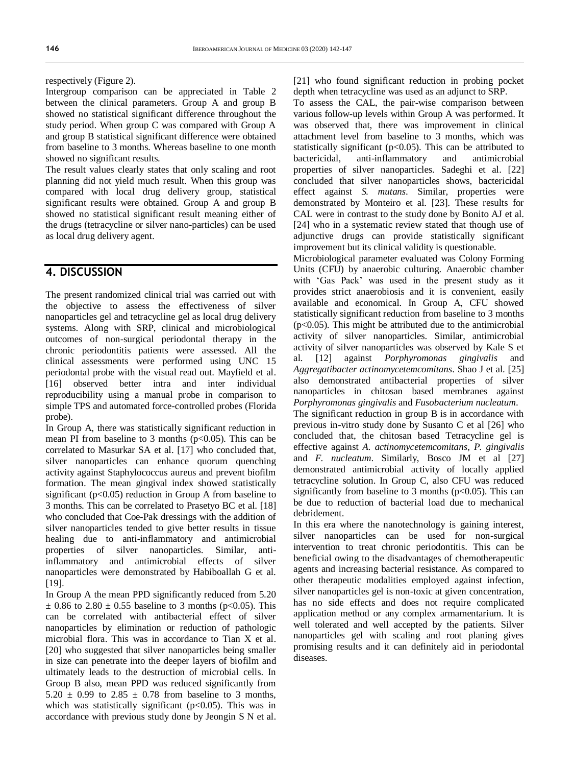respectively (Figure 2).

Intergroup comparison can be appreciated in Table 2 between the clinical parameters. Group A and group B showed no statistical significant difference throughout the study period. When group C was compared with Group A and group B statistical significant difference were obtained from baseline to 3 months. Whereas baseline to one month showed no significant results.

The result values clearly states that only scaling and root planning did not yield much result. When this group was compared with local drug delivery group, statistical significant results were obtained. Group A and group B showed no statistical significant result meaning either of the drugs (tetracycline or silver nano-particles) can be used as local drug delivery agent.

### **4. DISCUSSION**

The present randomized clinical trial was carried out with the objective to assess the effectiveness of silver nanoparticles gel and tetracycline gel as local drug delivery systems. Along with SRP, clinical and microbiological outcomes of non-surgical periodontal therapy in the chronic periodontitis patients were assessed. All the clinical assessments were performed using UNC 15 periodontal probe with the visual read out. Mayfield et al. [16] observed better intra and inter individual reproducibility using a manual probe in comparison to simple TPS and automated force-controlled probes (Florida probe).

In Group A, there was statistically significant reduction in mean PI from baseline to 3 months ( $p<0.05$ ). This can be correlated to Masurkar SA et al. [17] who concluded that, silver nanoparticles can enhance quorum quenching activity against Staphylococcus aureus and prevent biofilm formation. The mean gingival index showed statistically significant ( $p<0.05$ ) reduction in Group A from baseline to 3 months. This can be correlated to Prasetyo BC et al. [18] who concluded that Coe-Pak dressings with the addition of silver nanoparticles tended to give better results in tissue healing due to anti-inflammatory and antimicrobial properties of silver nanoparticles. Similar, antiinflammatory and antimicrobial effects of silver nanoparticles were demonstrated by Habiboallah G et al. [19].

In Group A the mean PPD significantly reduced from 5.20  $\pm$  0.86 to 2.80  $\pm$  0.55 baseline to 3 months (p<0.05). This can be correlated with antibacterial effect of silver nanoparticles by elimination or reduction of pathologic microbial flora. This was in accordance to Tian X et al. [20] who suggested that silver nanoparticles being smaller in size can penetrate into the deeper layers of biofilm and ultimately leads to the destruction of microbial cells. In Group B also, mean PPD was reduced significantly from  $5.20 \pm 0.99$  to  $2.85 \pm 0.78$  from baseline to 3 months, which was statistically significant ( $p<0.05$ ). This was in accordance with previous study done by Jeongin S N et al. [21] who found significant reduction in probing pocket depth when tetracycline was used as an adjunct to SRP.

To assess the CAL, the pair-wise comparison between various follow-up levels within Group A was performed. It was observed that, there was improvement in clinical attachment level from baseline to 3 months, which was statistically significant ( $p<0.05$ ). This can be attributed to bactericidal, anti-inflammatory and antimicrobial properties of silver nanoparticles. Sadeghi et al. [22] concluded that silver nanoparticles shows, bactericidal effect against *S. mutans*. Similar, properties were demonstrated by Monteiro et al. [23]. These results for CAL were in contrast to the study done by Bonito AJ et al. [24] who in a systematic review stated that though use of adjunctive drugs can provide statistically significant improvement but its clinical validity is questionable.

Microbiological parameter evaluated was Colony Forming Units (CFU) by anaerobic culturing. Anaerobic chamber with 'Gas Pack' was used in the present study as it provides strict anaerobiosis and it is convenient, easily available and economical. In Group A, CFU showed statistically significant reduction from baseline to 3 months  $(p<0.05)$ . This might be attributed due to the antimicrobial activity of silver nanoparticles. Similar, antimicrobial activity of silver nanoparticles was observed by Kale S et al. [12] against *Porphyromonas gingivalis* and *Aggregatibacter actinomycetemcomitans*. Shao J et al. [25] also demonstrated antibacterial properties of silver nanoparticles in chitosan based membranes against *Porphyromonas gingivalis* and *Fusobacterium nucleatum*.

The significant reduction in group B is in accordance with previous in-vitro study done by Susanto C et al [26] who concluded that, the chitosan based Tetracycline gel is effective against *A. actinomycetemcomitans*, *P. gingivalis* and *F. nucleatum*. Similarly, Bosco JM et al [27] demonstrated antimicrobial activity of locally applied tetracycline solution. In Group C, also CFU was reduced significantly from baseline to 3 months ( $p<0.05$ ). This can be due to reduction of bacterial load due to mechanical debridement.

In this era where the nanotechnology is gaining interest, silver nanoparticles can be used for non-surgical intervention to treat chronic periodontitis. This can be beneficial owing to the disadvantages of chemotherapeutic agents and increasing bacterial resistance. As compared to other therapeutic modalities employed against infection, silver nanoparticles gel is non-toxic at given concentration, has no side effects and does not require complicated application method or any complex armamentarium. It is well tolerated and well accepted by the patients. Silver nanoparticles gel with scaling and root planing gives promising results and it can definitely aid in periodontal diseases.